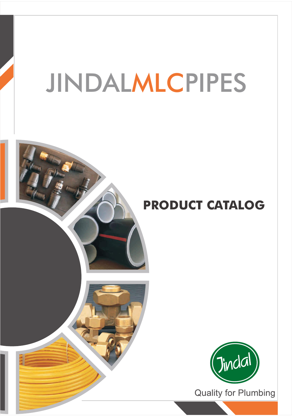# JINDALMLCPIPES

## **PRODUCT CATALOG**



**Quality for Plumbing**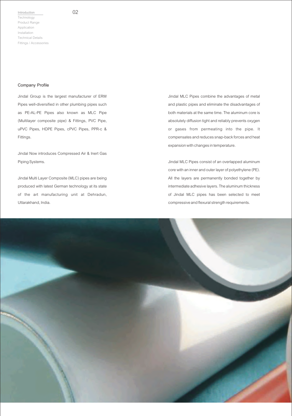#### 02

#### **Company Profile**

Jindal Group is the largest manufacturer of ERW Pipes well-diversified in other plumbing pipes such as PE-AL-PE Pipes also known as MLC Pipe (Multilayer composite pipe) & Fittings, PVC Pipe, uPVC Pipes, HDPE Pipes, cPVC Pipes, PPR-c & Fittings.

Jindal Now introduces Compressed Air & Inert Gas Piping Systems.

Jindal Multi Layer Composite (MLC) pipes are being produced with latest German technology at its state of the art manufacturing unit at Dehradun, Uttarakhand, India.

Jindal MLC Pipes combine the advantages of metal and plastic pipes and eliminate the disadvantages of both materials at the same time. The aluminum core is absolutely diffusion tight and reliably prevents oxygen or gases from permeating into the pipe. It compensates and reduces snap-back forces and heat expansion with changes in temperature.

Jindal MLC Pipes consist of an overlapped aluminum core with an inner and outer layer of polyethylene (PE). All the layers are permanently bonded together by intermediate adhesive layers. The aluminum thickness of Jindal MLC pipes has been selected to meet compressive and flexural strength requirements.

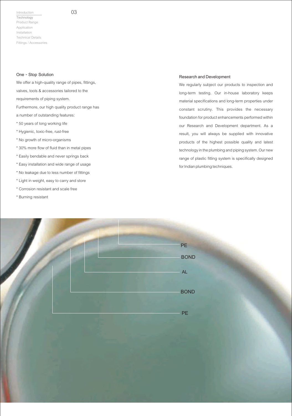### 03

#### **One - Stop Solution**

We offer a high-quality range of pipes, fittings, valves, tools & accessories tailored to the requirements of piping system. Furthermore, our high quality product range has a number of outstanding features:

- \* 50 years of long working life
- \* Hygienic, toxic-free, rust-free
- \* No growth of micro-organisms
- \* 30% more flow of fluid than in metal pipes
- \* Easily bendable and never springs back
- \* Easy installation and wide range of usage
- \* No leakage due to less number of fittings
- \* Light in weight, easy to carry and store
- \* Corrosion resistant and scale free
- \* Burning resistant

#### **Research and Development**

We regularly subject our products to inspection and long-term testing. Our in-house laboratory keeps material specifications and long-term properties under constant scrutiny. This provides the necessary foundation for product enhancements performed within our Research and Development department. As a result, you will always be supplied with innovative products of the highest possible quality and latest technology in the plumbing and piping system. Our new range of plastic fitting system is specifically designed for Indian plumbing techniques.

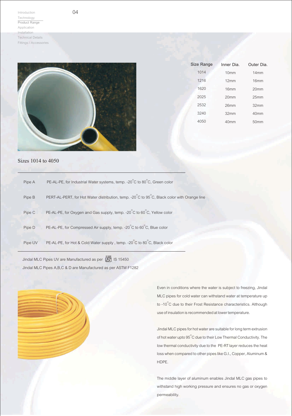

04

| Size Range | Inner Dia.       | Outer Dia.       |
|------------|------------------|------------------|
| 1014       | 10 <sub>mm</sub> | 14mm             |
| 1216       | 12mm             | 16 <sub>mm</sub> |
| 1620       | 16mm             | 20 <sub>mm</sub> |
| 2025       | 20 <sub>mm</sub> | 25mm             |
| 2532       | 26mm             | 32mm             |
| 3240       | 32mm             | 40 <sub>mm</sub> |
| 4050       | 40mm             | 50mm             |
|            |                  |                  |

#### Sizes 1014 to 4050

| Pipe A  | PE-AL-PE, for Industrial Water systems, temp. -20°C to 80°C, Green color                    |
|---------|---------------------------------------------------------------------------------------------|
| Pipe B  | PERT-AL-PERT, for Hot Water distribution, temp. -20°C to 95°C, Black color with Orange line |
| Pipe C  | PE-AL-PE, for Oxygen and Gas supply, temp. -20°C to 60°C, Yellow color                      |
| Pipe D  | PE-AL-PE, for Compressed Air supply, temp. -20°C to 60°C, Blue color                        |
| Pipe UV | PE-AL-PE, for Hot & Cold Water supply, temp. -20°C to 80°C, Black color                     |

Jindal MLC Pipes UV are Manufactured as per [S] IS 15450 Jindal MLC Pipes A,B,C & D are Manufactured as per ASTM F1282

> Even in conditions where the water is subject to freezing, Jindal MLC pipes for cold water can withstand water at temperature up to -10 $\degree$ C due to their Frost Resistance characteristics. Although use of insulation is recommended at lower temperature.

> Jindal MLC pipes for hot water are suitable for long term extrusion of hot water upto 95 $^\circ\text{C}$  due to their Low Thermal Conductivity. The low thermal conductivity due to the PE-RTlayer reduces the heat loss when compared to other pipes like G.I., Copper, Aluminum & HDPE.

> The middle layer of aluminum enables Jindal MLC gas pipes to withstand high working pressure and ensures no gas or oxygen permeability.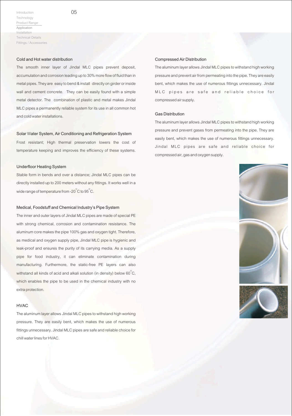05

#### **Cold and Hot water distribution**

The smooth inner layer of Jindal MLC pipes prevent deposit, accumulation and corrosion leading up to 30% more flow of fluid than in metal pipes. They are easy to bend & install directly on girder or inside wall and cement concrete. They can be easily found with a simple metal detector. The combination of plastic and metal makes Jindal MLC pipes a permanently reliable system for its use in all common hot and cold water installations.

#### **Solar** W**ater System, Air Conditioning and Refrigeration System**

Frost resistant; High thermal preservation lowers the cost of temperature keeping and improves the efficiency of these systems.

#### **Underfloor Heating System**

Stable form in bends and over a distance; Jindal MLC pipes can be directly installed up to 200 meters without any fittings. It works well in a wide range of temperature from -20 $\mathrm{^\circ C}$  to 95  $\mathrm{^\circ C}$  .

#### **Medical, Foodstuff and Chemical Industry's Pipe System**

The inner and outer layers of Jindal MLC pipes are made of special PE with strong chemical, corrosion and contamination resistance. The aluminum core makes the pipe 100% gas and oxygen tight. Therefore, as medical and oxygen supply pipe, Jindal MLC pipe is hygienic and leak-proof and ensures the purity of its carrying media. As a supply pipe for food industry, it can eliminate contamination during manufacturing. Furthermore, the static-free PE layers can also withstand all kinds of acid and alkali solution (in density) below 60 $^{\circ}$ C, which enables the pipe to be used in the chemical industry with no extra protection.

#### **HVAC**

The aluminum layer allows Jindal MLC pipes to withstand high working pressure. They are easily bent, which makes the use of numerous fittings unnecessary. Jindal MLC pipes are safe and reliable choice for chill water lines for HVAC.

#### **Compressed Air Distribution**

The aluminum layer allows Jindal MLC pipes to withstand high working pressure and prevent air from permeating into the pipe. They are easily bent, which makes the use of numerous fittings unnecessary. Jindal MLC pipes are safe and reliable choice for compressed air supply.

#### **Gas Distribution**

The aluminum layer allows Jindal MLC pipes to withstand high working pressure and prevent gases from permeating into the pipe. They are easily bent, which makes the use of numerous fittings unnecessary. Jindal MLC pipes are safe and reliable choice for compressed air, gas and oxygen supply.



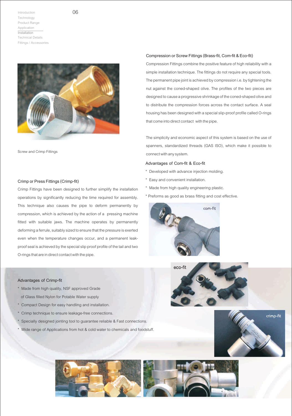



Screw and Crimp Fittings

#### **Crimp or Press Fittings (Crimp-fit)**

Crimp Fittings have been designed to further simplify the installation operations by significantly reducing the time required for assembly. This technique also causes the pipe to deform permanently by compression, which is achieved by the action of a pressing machine fitted with suitable jaws. The machine operates by permanently deforming a ferrule, suitably sized to ensure that the pressure is exerted even when the temperature changes occur, and a permanent leakproof seal is achieved by the special slip proof profile of the tail and two O-rings that are in direct contact with the pipe.

#### **Advantages of Crimp-fit**

- \* Made from high quality, NSF approved Grade of Glass filled Nylon for Potable Water supply
- Compact Design for easy handling and installation.
- \* Crimp technique to ensure leakage-free connections.
- Specially designed jointing tool to guarantee reliable & Fast connections.
- \* Wide range of Applications from hot & cold water to chemicals and foodstuff.

#### **Compression or Screw Fittings (Brass-fit, Com-fit & Eco-fit)**

Compression Fittings combine the positive feature of high reliability with a simple installation technique. The fittings do not require any special tools. The permanent pipe joint is achieved by compression i.e. by tightening the nut against the coned-shaped olive. The profiles of the two pieces are designed to cause a progressive shrinkage of the coned-shaped olive and to distribute the compression forces across the contact surface. A seal housing has been designed with a special slip-proof profile called O-rings that come into direct contact with the pipe.

The simplicity and economic aspect of this system is based on the use of spanners, standardized threads (GAS ISO), which make it possible to connect with any system.

#### **Advantages of Com-fit & Eco-fit**

- \* Developed with advance injection molding.
- \* Easy and convenient installation.
- Made from high quality engineering plastic.
- \* Preforms as good as brass fitting and cost effective.







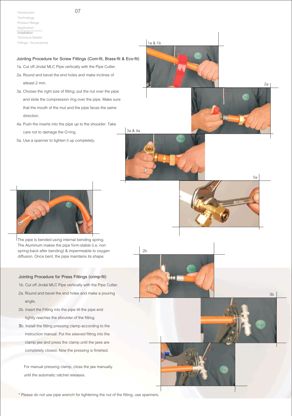#### **Jointing Procedure for Screw Fittings (Com-fit, Brass-fit & Eco-fit)**

1a. Cut off Jindal MLC Pipe vertically with the Pipe Cutter.

- 2a. Round and bevel the end holes and make inclines of atleast 2 mm.
- 3a. Choose the right size of fitting; put the nut over the pipe and slide the compression ring over the pipe. Make sure that the mouth of the mut and the pipe faces the same direction.
- 4a. Push the inserts into the pipe up to the shoulder. Take care not to damage the O-ring.
- 5a. Use a spanner to tighten it up completely.







The pipe is bended using internal bending spring. The Aluminum makes the pipe form-stable (i.e. non spring-back after bending) & impermeable to oxygen diffusion. Once bent, the pipe maintains its shape.

#### **Jointing Procedure for Press Fittings (crimp-fit)**

- 1b. Cut off Jindal MLC Pipe vertically with the Pipe Cutter.
- 2a. Round and bevel the end holes and make a pouring angle.
- 2b. Insert the Fitting into the pipe till the pipe end tightly reaches the shoulder of the fitting.
- **3**b. Install the fitting pressing clamp according to the instruction manual. Put the sleeved fitting into the clamp jaw and press the clamp until the jaws are completely closed. Now the pressing is finished.

 For manual pressing clamp, close the jaw manually until the automatic ratchet releases.

\* Please do not use pipe wrench for tightening the nut of the fitting, use spanners.



2b

3a & 4a







3b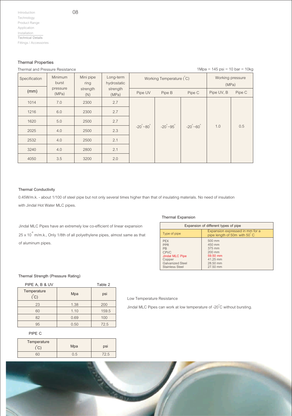#### **Thermal Properties**

#### Thermal and Pressure Resistance

08

| Thermal and Pressure Resistance |                   |                   |                          |                            |                              |                            | $1 \text{Mpa} = 145 \text{ psi} = 10 \text{ bar} = 10 \text{kg}$ |        |
|---------------------------------|-------------------|-------------------|--------------------------|----------------------------|------------------------------|----------------------------|------------------------------------------------------------------|--------|
| Specification                   | Minimum<br>burst  | Mini pipe<br>ring | Long-term<br>hydrostatic |                            | Working Temperature (C)      |                            | Working pressure<br>(MPa)                                        |        |
| (mm)                            | pressure<br>(MPa) | strength<br>(N)   | strength<br>(MPa)        | Pipe UV                    | Pipe B                       | Pipe C                     | Pipe UV, B                                                       | Pipe C |
| 1014                            | 7.0               | 2300              | 2.7                      |                            |                              |                            |                                                                  |        |
| 1216                            | 6.0               | 2300              | 2.7                      |                            |                              |                            |                                                                  |        |
| 1620                            | 5.0               | 2500              | 2.7                      |                            |                              |                            |                                                                  |        |
| 2025                            | 4.0               | 2500              | 2.3                      | $-20^{\circ} - 80^{\circ}$ | $-20^{\circ}$ ~95 $^{\circ}$ | $-20^{\circ} - 60^{\circ}$ | 1.0                                                              | 0.5    |
| 2532                            | 4.0               | 2500              | 2.1                      |                            |                              |                            |                                                                  |        |
| 3240                            | 4.0               | 2800              | 2.1                      |                            |                              |                            |                                                                  |        |
| 4050                            | 3.5               | 3200              | 2.0                      |                            |                              |                            |                                                                  |        |

#### **Thermal Conductivity**

0.45W/m.k. - about 1/100 of steel pipe but not only several times higher than that of insulating materials. No need of insulation with Jindal Hot Water MLC pipes.

Jindal MLC Pipes have an extremely low co-efficient of linear expansion 25 x 10 $\degree$  m/m.k., Only 1/8th of all polyethylene pipes, almost same as that of aluminum pipes.

#### **Thermal Expansion**

| Expansion of different types of pipe                                                                                                   |                                                                                        |  |  |  |
|----------------------------------------------------------------------------------------------------------------------------------------|----------------------------------------------------------------------------------------|--|--|--|
| Type of pipe                                                                                                                           | Expansion expressed in mm for a<br>pipe length of 50m with 50 °C                       |  |  |  |
| <b>PFX</b><br><b>PPR</b><br><b>PB</b><br><b>CPVC</b><br><b>Jindal MLC Pipe</b><br>Copper<br><b>Galvanized Steel</b><br>Stainless Steel | 500 mm<br>450 mm<br>375 mm<br>$200$ mm<br>59.50 mm<br>41.25 mm<br>28.50 mm<br>27.50 mm |  |  |  |

#### **Thermal Strength (Pressure Rating)**

| PIPE A, B & UV                   |      | Table 2 |
|----------------------------------|------|---------|
| Temperature<br>$\rm (^{\circ}C)$ | Mpa  | psi     |
| 23                               | 1.38 | 200     |
| 60                               | 1.10 | 159.5   |
| 82                               | 0.69 | 100     |
| 95                               | 0.50 | 72.5    |

#### Jindal MLC Pipes can work at low temperature of -20 $\degree$ C without bursting.

Low Temperature Resistance

#### **PIPE C**

| Temperature | Mpa     | psi |
|-------------|---------|-----|
|             | $\cdot$ |     |

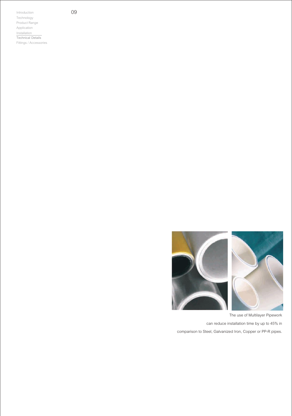

The use of Multilayer Pipework can reduce installation time by up to 45% in comparison to Steel, Galvanized Iron, Copper or PP-R pipes.

09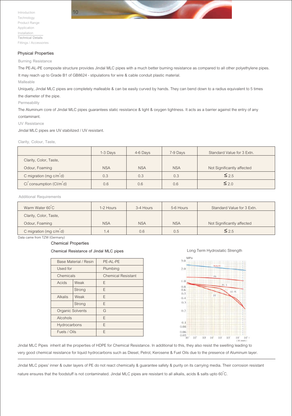



#### **Physical Properties**

#### **Burning Resistance**

The PE-AL-PE composite structure provides Jindal MLC pipes with a much better burning resistance as compared to all other polyethylene pipes. It may reach up to Grade B1 of GB8624 - stipulations for wire & cable conduit plastic material.

**Malleable**

Uniquely, Jindal MLC pipes are completely malleable & can be easily curved by hands. They can bend down to a radius equivalent to 5 times the diameter of the pipe.

**Permeability**

The Aluminum core of Jindal MLC pipes guarantees static resistance & light & oxygen tightness. It acts as a barrier against the entry of any contaminant.

#### **UV Resistance**

Jindal MLC pipes are UV stabilized / UV resistant.

#### **Clarity, Colour, Taste,**

|                                                  | 1-3 Days   | 4-6 Days   | 7-9 Days   | Standard Value for 3 Extn. |
|--------------------------------------------------|------------|------------|------------|----------------------------|
| Clarity, Color, Taste,                           |            |            |            |                            |
| Odour, Foaming                                   | <b>NSA</b> | <b>NSA</b> | <b>NSA</b> | Not Significantly affected |
| C migration (mg $c/m^2 d$ )                      | 0.3        | 0.3        | 0.3        | $\leq 2.5$                 |
| Ci <sup>-</sup> consumption (Cl/m <sup>-d)</sup> | 0.6        | 0.6        | 0.6        | $\leq$ 2.0                 |

**Additional Requirements**

| Warm Water 60°C            | 1-2 Hours  | 3-4 Hours  | 5-6 Hours  | Standard Value for 3 Extn. |
|----------------------------|------------|------------|------------|----------------------------|
| Clarity, Color, Taste,     |            |            |            |                            |
| Odour, Foaming             | <b>NSA</b> | <b>NSA</b> | <b>NSA</b> | Not Significantly affected |
| C migration (mg $c/m^2$ d) | 1.4        | 0.6        | 0.5        | $\leq 2.5$                 |

Data came from TZW (Germany)

#### **Chemical Properties**

**Chemical Resistance of Jindal MLC pipes**

| Base Material / Resin   |        | PE-AL-PE                  |
|-------------------------|--------|---------------------------|
| Used for                |        | Plumbing                  |
| Chemicals               |        | <b>Chemical Resistant</b> |
| Acids                   | Weak   | Ε                         |
|                         | Strong | F                         |
| <b>Alkalis</b>          | Weak   | F                         |
|                         | Strong | E                         |
| <b>Organic Solvents</b> |        | G                         |
| Alcohols                |        | F                         |
| Hydrocarbons            |        | Е                         |
| Fuels / Oils            |        | F                         |

#### Long Term Hydrostatic Strength



Jindal MLC Pipes inherit all the properties of HDPE for Chemical Resistance. In additional to this, they also resist the swelling leading to very good chemical resistance for liquid hydrocarbons such as Diesel, Petrol, Kerosene & Fuel Oils due to the presence of Aluminum layer.

Jindal MLC pipes' inner & outer layers of PE do not react chemically & guarantee safety & purity on its carrying media. Their corrosion resistant nature ensures that the foodstuff is not contaminated. Jindal MLC pipes are resistant to all alkalis, acids & salts upto 60 $^{\circ}$ C.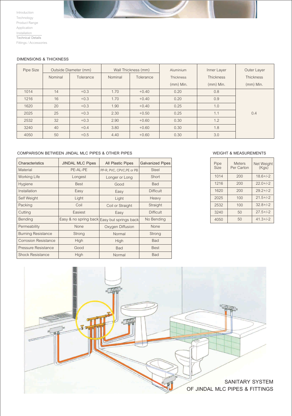#### **DIMENSIONS & THICKNESS**

| Pipe Size | Outside Diameter (mm) |           | Wall Thickness (mm) |           | Aluminium        | Inner Layer      | Outer Layer      |
|-----------|-----------------------|-----------|---------------------|-----------|------------------|------------------|------------------|
|           | Nominal               | Tolerance | Nominal             | Tolerance | <b>Thickness</b> | <b>Thickness</b> | <b>Thickness</b> |
|           |                       |           |                     |           | $(mm)$ Min.      | (mm) Min.        | $(mm)$ Min.      |
| 1014      | 14                    | $+0.3$    | 1.70                | $+0.40$   | 0.20             | 0.8              |                  |
| 1216      | 16                    | $+0.3$    | 1.70                | $+0.40$   | 0.20             | 0.9              |                  |
| 1620      | 20                    | $+0.3$    | 1.90                | $+0.40$   | 0.25             | 1.0              |                  |
| 2025      | 25                    | $+0.3$    | 2.30                | $+0.50$   | 0.25             | 1.1              | 0.4              |
| 2532      | 32                    | $+0.3$    | 2.90                | $+0.60$   | 0.30             | 1.2              |                  |
| 3240      | 40                    | $+0.4$    | 3.80                | $+0.60$   | 0.30             | 1.8              |                  |
| 4050      | 50                    | $+0.5$    | 4.40                | $+0.60$   | 0.30             | 3.0              |                  |

#### **COMPARISON BETWEEN JINDAL MLC PIPES & OTHER PIPES**

11

| Characteristics             | <b>JINDAL MLC Pipes</b><br><b>All Plastic Pipes</b> |                                             | <b>Galvanized Pipes</b> |
|-----------------------------|-----------------------------------------------------|---------------------------------------------|-------------------------|
| Material                    | PE-AL-PE                                            | PP-R, PVC, CPVC, PE or PB                   | Steel                   |
| <b>Working Life</b>         | Longest                                             | Longer or Long                              | Short                   |
| Hygiene                     | <b>Best</b>                                         | Good                                        | <b>Bad</b>              |
| Installation                | Easy                                                | Easy                                        | <b>Difficult</b>        |
| Self Weight                 | Light                                               | Light                                       | Heavy                   |
| Packing                     | Coil                                                | Coil or Straight                            | Straight                |
| Cutting                     | Easiest                                             | Easy                                        | <b>Difficult</b>        |
| Bending                     |                                                     | Easy & no spring back Easy but springs back | No Bending              |
| Permeability                | None                                                | Oxygen Diffusion                            | None                    |
| <b>Burning Resistance</b>   | Strong                                              | Normal                                      | Strong                  |
| <b>Corrosion Resistance</b> | High                                                | High                                        | <b>Bad</b>              |
| Pressure Resistance         | Good                                                | <b>Bad</b>                                  | <b>Best</b>             |
| <b>Shock Resistance</b>     | High                                                | Normal                                      | <b>Bad</b>              |

#### **WEIGHT & MEASUREMENTS**

| Pipe<br><b>Size</b> | <b>Meters</b><br>Per Carton | Net Weight<br>(Kgs) |
|---------------------|-----------------------------|---------------------|
| 1014                | 200                         | $18.6 + (-2)$       |
| 1216                | 200                         | $22.0 + (-2)$       |
| 1620                | 200                         | $29.2 + (-2)$       |
| 2025                | 100                         | $21.5 + (-2)$       |
| 2532                | 100                         | $32.8 + (-2)$       |
| 3240                | 50                          | $27.5 + (-2)$       |
| 4050                | 50                          | $41.3 + (-2)$       |

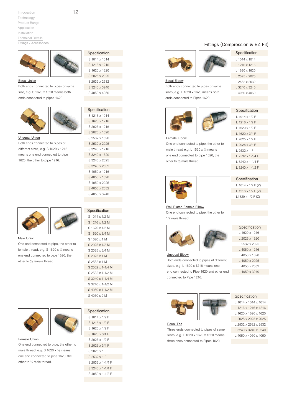

**Equal Union** Both ends connected to pipes of same size, e.g. S 1620 x 1620 means both ends connected to pipes 1620



**Unequal Union**

Both ends connected to pipes of different sizes, e.g. S 1620 x 1216 means one end connected to pipe 1620, the other to pipe 1216.



**Male Union**

One end connected to pipe, the other to female thread, e.g. S 1620 x ½ means one end connected to pipe 1620, the other to ½ female thread.



**Female Union** One end connected to pipe, the other to male thread, e.g. S 1620 x ½ means one end connected to pipe 1620, the other to ½ male thread.

| Specification |
|---------------|
| S 1014 x 1014 |
| S 1216 x 1216 |
| S 1620 x 1620 |
| S 2025 x 2025 |
| S 2532 x 2532 |
| S 3240 x 3240 |
| S4050 x4050   |

| Specification |
|---------------|
| S 1216 x 1014 |
| S 1620 x 1216 |
| S 2025 x 1216 |
| S 2025 x 1620 |
| S 2532 x 1620 |
| S 2532 x 2025 |
| S 3240 x 1216 |
| S 3240 x 1620 |
| S 3240 x 2025 |
| S 3240 x 2532 |
| S4050 x 1216  |
| S4050 x 1620  |
| S4050 x 2025  |
| S4050 x 2532  |
| S 4050 x 3240 |

| Specification         |
|-----------------------|
| S 1014 x 1/2 M        |
| S 1216 x 1/2 M        |
| S 1620 x 1/2 M        |
| S 1620 x 3/4 M        |
| S 1620 x 1 M          |
| S 2025 x 1/2 M        |
| S 2025 x 3/4 M        |
| $S$ 2025 $\times$ 1 M |
| S 2532 x 1 M          |
| S 2532 x 1-1/4 M      |
| S 2532 x 1-1/2 M      |
| S 3240 x 1-1/4 M      |
| S 3240 x 1-1/2 M      |
| S4050 x 1-1/2 M       |
| S 4050 x 2 M          |
|                       |

| Specification         |
|-----------------------|
| S 1014 x 1/2 F        |
| S 1216 x 1/2 F        |
| S 1620 x 1/2 F        |
| S 1620 x 3/4 F        |
| S 2025 x 1/2 F        |
| S 2025 x 3/4 F        |
| S 2025 x 1 F          |
| $S$ 2532 $\times$ 1 F |
| S 2532 x 1-1/4 F      |
| S 3240 x 1-1/4 F      |
| S 4050 x 1-1/2 F      |
|                       |

#### **Fittings (Compression & EZ Fit)**

L 1014 x 1014 L 1216 x 1216 L 1620 x 1620 L 2025 x 2025 L 2532 x 2532 L 3240 x 3240 L 4050 x 4050





| Equal Elbow |  |
|-------------|--|
|             |  |

Both ends connected to pipes of same sizes, e.g. L 1620 x 1620 means both ends connected to Pipes 1620.



male thread e.g. L 1620 x ½ means one end connected to pipe 1620, the



| Specification          |
|------------------------|
| $1.1014 \times 1/2$ F  |
| 1 1216 x 1/2 F         |
| 1 1620 x 1/2 F         |
| $1.1620 \times 3/4$ F  |
| $12025 \times 1/2$ F   |
| $12025 \times 3/4$ F   |
| $1,2532 \times 1$ F    |
| $12532 \times 1-1/4$ F |
| 1 3240 x 1-1/4 F       |
| l 3240 x 1-1/2 F       |



other to ½ male thread.

| Specification      |
|--------------------|
| L 1014 x 1/2 F (Z) |
| L 1216 x 1/2 F (Z) |
| L1620 x 1/2 F (Z)  |

#### **Wall Plated Female Elbow**

One end connected to pipe, the other to 1/2 male thread.



L 1620 x 1216 L 2025 x 1620 L 2532 x 2025 L 4050 x 1216 L 4050 x 1620 L 4050 x 2025 L 4050 x 2532 L 4050 x 3240 **Specification** 

**Unequal Elbow**

sizes, e.g. L 1620 x 1216 means one end connected to Pipe 1620 and other end connected to Pipe 1216.



**Equal Tee**

Three ends connected to pipes of same sizes, e.g. T 1620 x 1620 x 1620 means three ends connected to Pipes 1620.

**Specification** 

L 1014 x 1014 x 1014 L 1216 x 1216 x 1216 L 1620 x 1620 x 1620 L 2025 x 2025 x 2025 L 2532 x 2532 x 2532 L 3240 x 3240 x 3240

L 4050 x 4050 x 4050



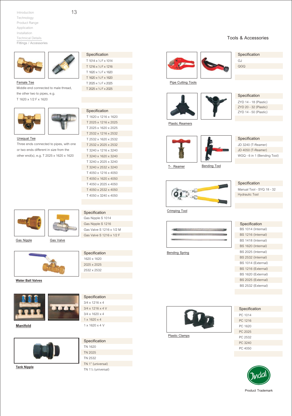

**Female Tee**

Middle end connected to male thread, the other two to pipes, e.g.

T 1620 x 1/2 F x 1620



#### **Unequal Tee**

Three ends connected to pipes, with one or two ends different in size from the other end(s), e.g. T 2025 x 1620 x 1620



T 1620 x 1216 x 1620 T 2025 x 1216 x 2025 T 2025 x 1620 x 2025 T 2532 x 1216 x 2532

**Specification** 

T 1014 x ½ F x 1014 T 1216 x ½ F x 1216 T 1620 x ½ F x 1620 T 1620 x ¾ F x 1620 T 2025 x ½ F x 2025 T 2025 x ¾ F x 2025

**Specification** 

#### **Specification**

**Specification** 1620 x 1620 2025 x 2025 2532 x 2532

Gas Nipple S 1014 Gas Nipple S 1216 Gas Valve S 1216 x 1/2 M Gas Valve S 1216 x 1/2 F



**Water Ball Valves**



**Manifold**



**Tank Nipple**

| Specification                |
|------------------------------|
| $3/4 \times 1216 \times 4$   |
| $3/4 \times 1216 \times 4$ V |
| $3/4 \times 1620 \times 4$   |
| $1 \times 1620 \times 4$     |
| $1 \times 1620 \times 4$ V   |

| Specification       |  |
|---------------------|--|
| TN 1620             |  |
| TN 2025             |  |
| TN 2532             |  |
| TN 1" (universal)   |  |
| TN 11/4 (universal) |  |

|--|



#### GJ **Specification**

QGQ

**Pipe Cutting Tools**





ZYD 14 - 18 (Plastic) **Specification** 

ZYD 20 - 32 (Plastic) ZYD 14 - 50 (Plastic)

#### **Plastic Reamers**



**T- Reamer**





JD 3240 (T-Reamer) JD 4050 (T-Reamer) WGQ - 6 in 1 (Bending Tool)

**Specification** 

Manual Tool - SYQ 18 - 32 Hydraulic Tool **Specification** 

**Crimping Tool**



**Bending Spring**

BS 1014 (Internal) BS 1216 (Internal) BS 1418 (Internal) BS 1620 (Internal) BS 2025 (Internal) BS 2532 (Internal) BS 1014 (External) BS 1216 (External) BS 1620 (External)

**Specification** 

BS 2025 (External) BS 2532 (External)





**Plastic Clamps**





#### **Tools & Accessories**

13